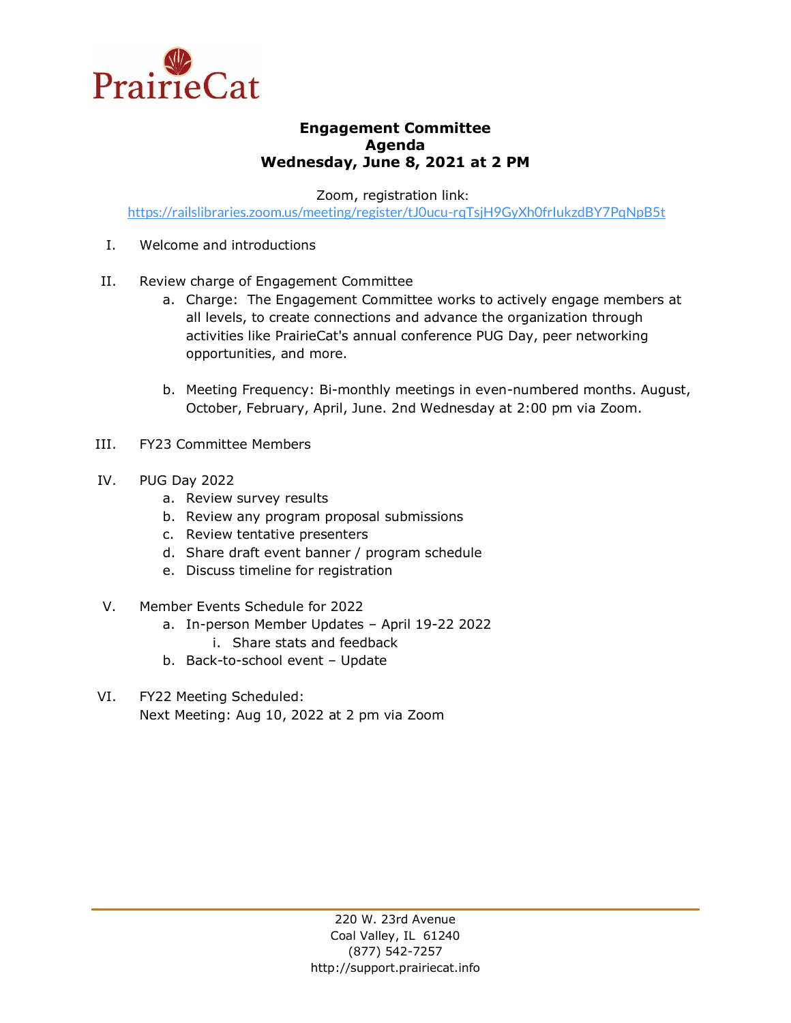

## **Engagement Committee Agenda Wednesday, June 8, 2021 at 2 PM**

Zoom, registration link:

<https://railslibraries.zoom.us/meeting/register/tJ0ucu-rqTsjH9GyXh0frIukzdBY7PqNpB5t>

- I. Welcome and introductions
- II. Review charge of Engagement Committee
	- a. Charge: The Engagement Committee works to actively engage members at all levels, to create connections and advance the organization through activities like PrairieCat's annual conference PUG Day, peer networking opportunities, and more.
	- b. Meeting Frequency: Bi-monthly meetings in even-numbered months. August, October, February, April, June. 2nd Wednesday at 2:00 pm via Zoom.
- III. FY23 Committee Members
- IV. PUG Day 2022
	- a. Review survey results
	- b. Review any program proposal submissions
	- c. Review tentative presenters
	- d. Share draft event banner / program schedule
	- e. Discuss timeline for registration
- V. Member Events Schedule for 2022
	- a. In-person Member Updates April 19-22 2022 i. Share stats and feedback
	- b. Back-to-school event Update
- VI. FY22 Meeting Scheduled: Next Meeting: Aug 10, 2022 at 2 pm via Zoom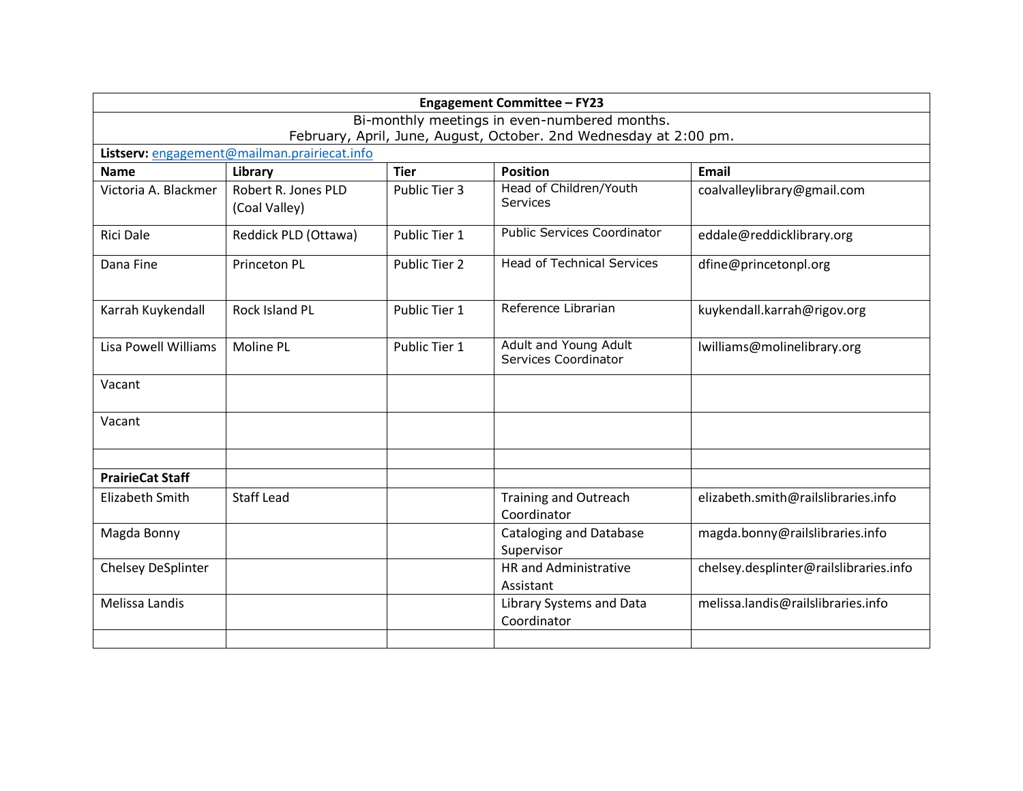| <b>Engagement Committee - FY23</b> |                                                                   |               |                                               |                                        |  |  |  |  |
|------------------------------------|-------------------------------------------------------------------|---------------|-----------------------------------------------|----------------------------------------|--|--|--|--|
|                                    |                                                                   |               | Bi-monthly meetings in even-numbered months.  |                                        |  |  |  |  |
|                                    | February, April, June, August, October. 2nd Wednesday at 2:00 pm. |               |                                               |                                        |  |  |  |  |
|                                    | Listserv: engagement@mailman.prairiecat.info                      |               |                                               |                                        |  |  |  |  |
| <b>Name</b>                        | Library                                                           | <b>Tier</b>   | <b>Position</b>                               | <b>Email</b>                           |  |  |  |  |
| Victoria A. Blackmer               | Robert R. Jones PLD<br>(Coal Valley)                              | Public Tier 3 | Head of Children/Youth<br>Services            | coalvalleylibrary@gmail.com            |  |  |  |  |
| <b>Rici Dale</b>                   | Reddick PLD (Ottawa)                                              | Public Tier 1 | <b>Public Services Coordinator</b>            | eddale@reddicklibrary.org              |  |  |  |  |
| Dana Fine                          | <b>Princeton PL</b>                                               | Public Tier 2 | <b>Head of Technical Services</b>             | dfine@princetonpl.org                  |  |  |  |  |
| Karrah Kuykendall                  | Rock Island PL                                                    | Public Tier 1 | Reference Librarian                           | kuykendall.karrah@rigov.org            |  |  |  |  |
| <b>Lisa Powell Williams</b>        | <b>Moline PL</b>                                                  | Public Tier 1 | Adult and Young Adult<br>Services Coordinator | lwilliams@molinelibrary.org            |  |  |  |  |
| Vacant                             |                                                                   |               |                                               |                                        |  |  |  |  |
| Vacant                             |                                                                   |               |                                               |                                        |  |  |  |  |
| <b>PrairieCat Staff</b>            |                                                                   |               |                                               |                                        |  |  |  |  |
| <b>Elizabeth Smith</b>             | <b>Staff Lead</b>                                                 |               | <b>Training and Outreach</b><br>Coordinator   | elizabeth.smith@railslibraries.info    |  |  |  |  |
| Magda Bonny                        |                                                                   |               | <b>Cataloging and Database</b><br>Supervisor  | magda.bonny@railslibraries.info        |  |  |  |  |
| <b>Chelsey DeSplinter</b>          |                                                                   |               | <b>HR</b> and Administrative<br>Assistant     | chelsey.desplinter@railslibraries.info |  |  |  |  |
| Melissa Landis                     |                                                                   |               | Library Systems and Data<br>Coordinator       | melissa.landis@railslibraries.info     |  |  |  |  |
|                                    |                                                                   |               |                                               |                                        |  |  |  |  |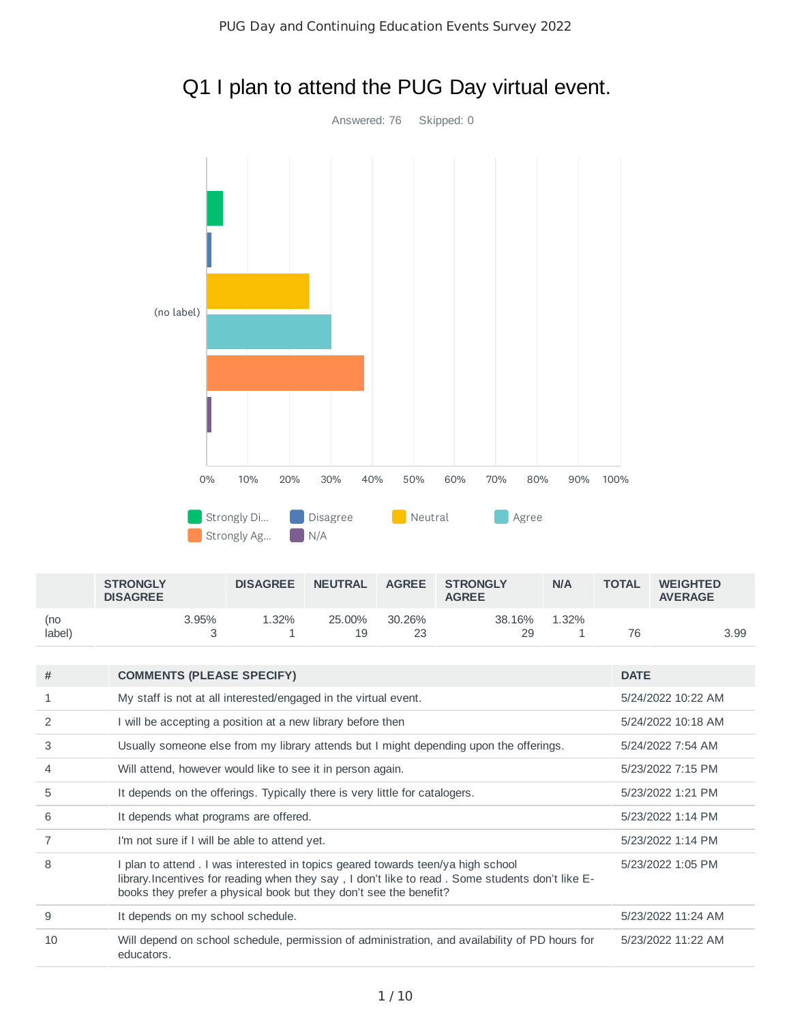

# Q1 I plan to attend the PUG Day virtual event.

|               | <b>STRONGLY</b><br><b>DISAGREE</b> |          | <b>DISAGREE</b> | <b>NEUTRAL</b> | <b>AGREE</b> | <b>STRONGLY</b><br><b>AGREE</b> | N/A        | <b>TOTAL</b> | <b>WEIGHTED</b><br><b>AVERAGE</b> |
|---------------|------------------------------------|----------|-----------------|----------------|--------------|---------------------------------|------------|--------------|-----------------------------------|
| (no<br>label) |                                    | $3.95\%$ | 32%             | 25.00%<br>19   | 30.26%<br>23 | 38.16%<br>29                    | L.32%<br>- |              | 3.99                              |

| #                        | <b>COMMENTS (PLEASE SPECIFY)</b>                                                                                                                                                                                                                          | <b>DATE</b>        |
|--------------------------|-----------------------------------------------------------------------------------------------------------------------------------------------------------------------------------------------------------------------------------------------------------|--------------------|
|                          | My staff is not at all interested/engaged in the virtual event.                                                                                                                                                                                           | 5/24/2022 10:22 AM |
| $\overline{2}$           | I will be accepting a position at a new library before then                                                                                                                                                                                               | 5/24/2022 10:18 AM |
| 3                        | Usually someone else from my library attends but I might depending upon the offerings.                                                                                                                                                                    | 5/24/2022 7:54 AM  |
| $\overline{\mathcal{A}}$ | Will attend, however would like to see it in person again.                                                                                                                                                                                                | 5/23/2022 7:15 PM  |
| 5                        | It depends on the offerings. Typically there is very little for catalogers.                                                                                                                                                                               | 5/23/2022 1:21 PM  |
| 6                        | It depends what programs are offered.                                                                                                                                                                                                                     | 5/23/2022 1:14 PM  |
|                          | I'm not sure if I will be able to attend yet.                                                                                                                                                                                                             | 5/23/2022 1:14 PM  |
| 8                        | I plan to attend . I was interested in topics geared towards teen/ya high school<br>library. Incentives for reading when they say, I don't like to read. Some students don't like E-<br>books they prefer a physical book but they don't see the benefit? | 5/23/2022 1:05 PM  |
| 9                        | It depends on my school schedule.                                                                                                                                                                                                                         | 5/23/2022 11:24 AM |
| 10                       | Will depend on school schedule, permission of administration, and availability of PD hours for<br>educators.                                                                                                                                              | 5/23/2022 11:22 AM |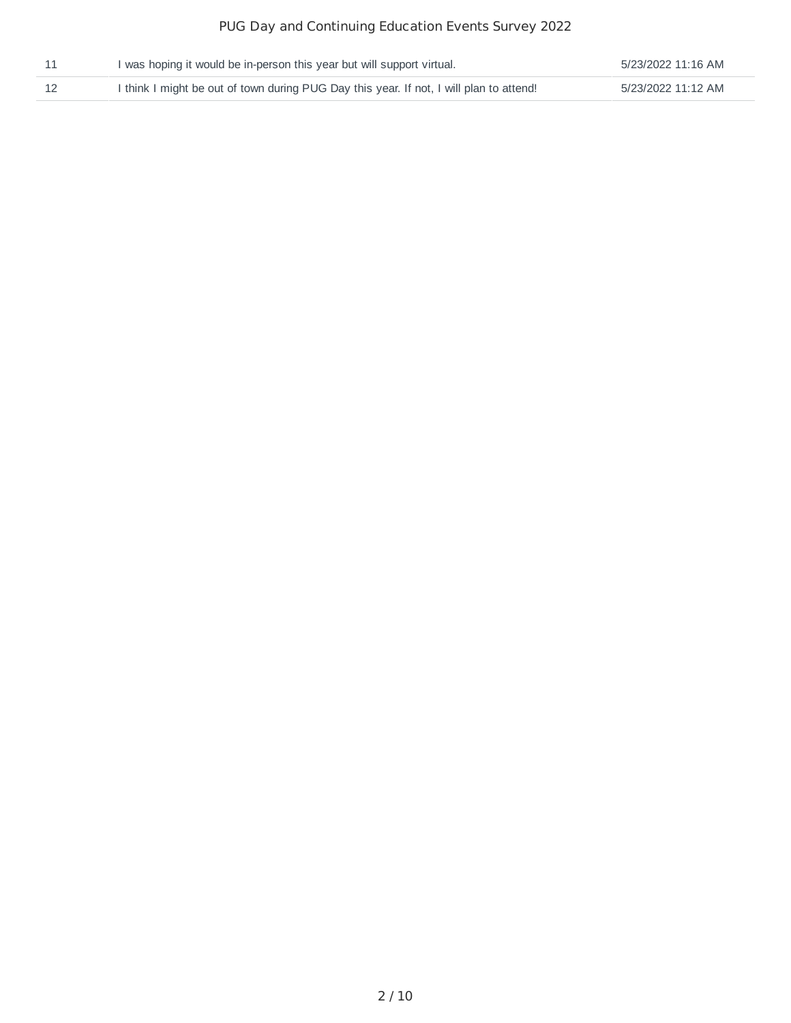## PUG Day and Continuing Education Events Survey 2022

| I was hoping it would be in-person this year but will support virtual.                  | 5/23/2022 11:16 AM |
|-----------------------------------------------------------------------------------------|--------------------|
| I think I might be out of town during PUG Day this year. If not, I will plan to attend! | 5/23/2022 11:12 AM |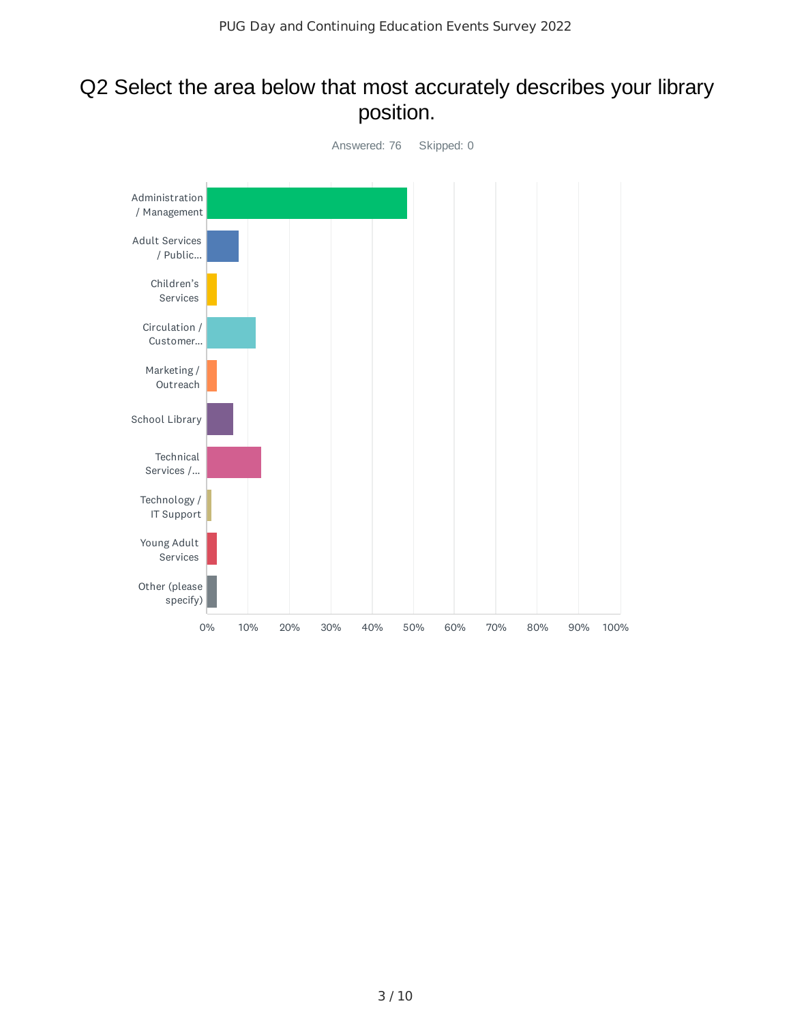## Q2 Select the area below that most accurately describes your library position.

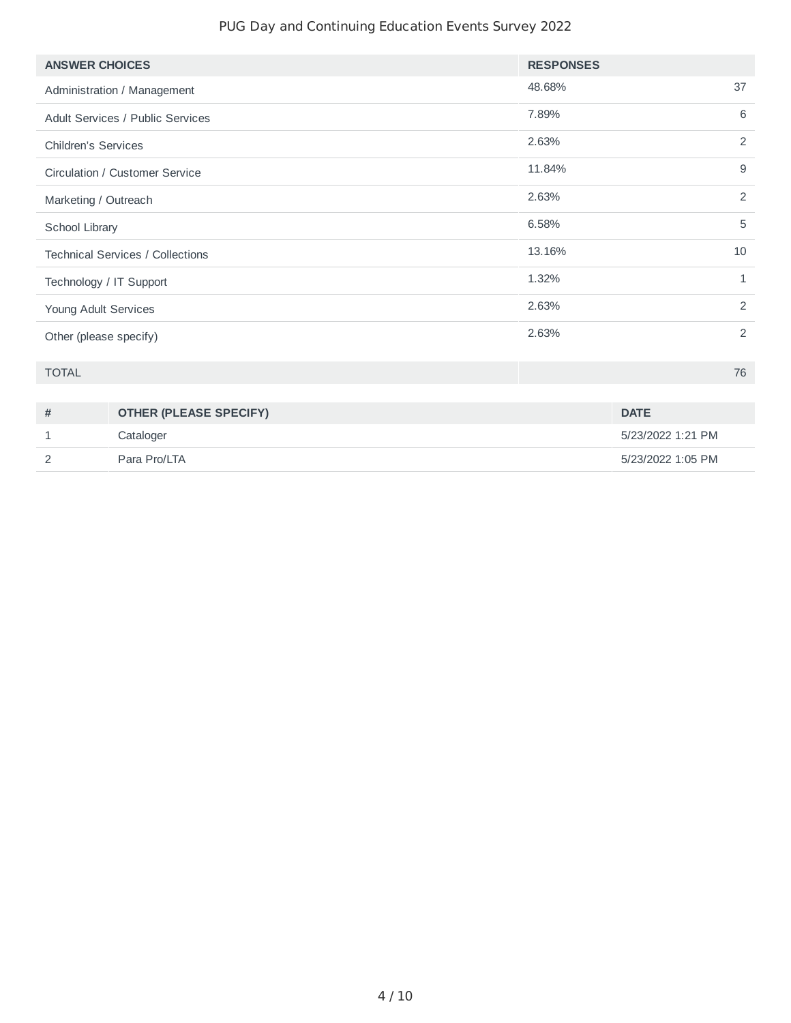## PUG Day and Continuing Education Events Survey 2022

| <b>ANSWER CHOICES</b>                   | <b>RESPONSES</b> |  |
|-----------------------------------------|------------------|--|
| Administration / Management             | 37<br>48.68%     |  |
| <b>Adult Services / Public Services</b> | 6<br>7.89%       |  |
| <b>Children's Services</b>              | 2<br>2.63%       |  |
| Circulation / Customer Service          | 9<br>11.84%      |  |
| Marketing / Outreach                    | 2<br>2.63%       |  |
| School Library                          | 5<br>6.58%       |  |
| <b>Technical Services / Collections</b> | 13.16%<br>10     |  |
| Technology / IT Support                 | 1.32%<br>1       |  |
| Young Adult Services                    | 2<br>2.63%       |  |
| Other (please specify)                  | 2<br>2.63%       |  |
| <b>TOTAL</b>                            | 76               |  |

| # | <b>OTHER (PLEASE SPECIFY)</b> | <b>DATE</b>       |
|---|-------------------------------|-------------------|
|   | Cataloger                     | 5/23/2022 1:21 PM |
|   | Para Pro/LTA                  | 5/23/2022 1:05 PM |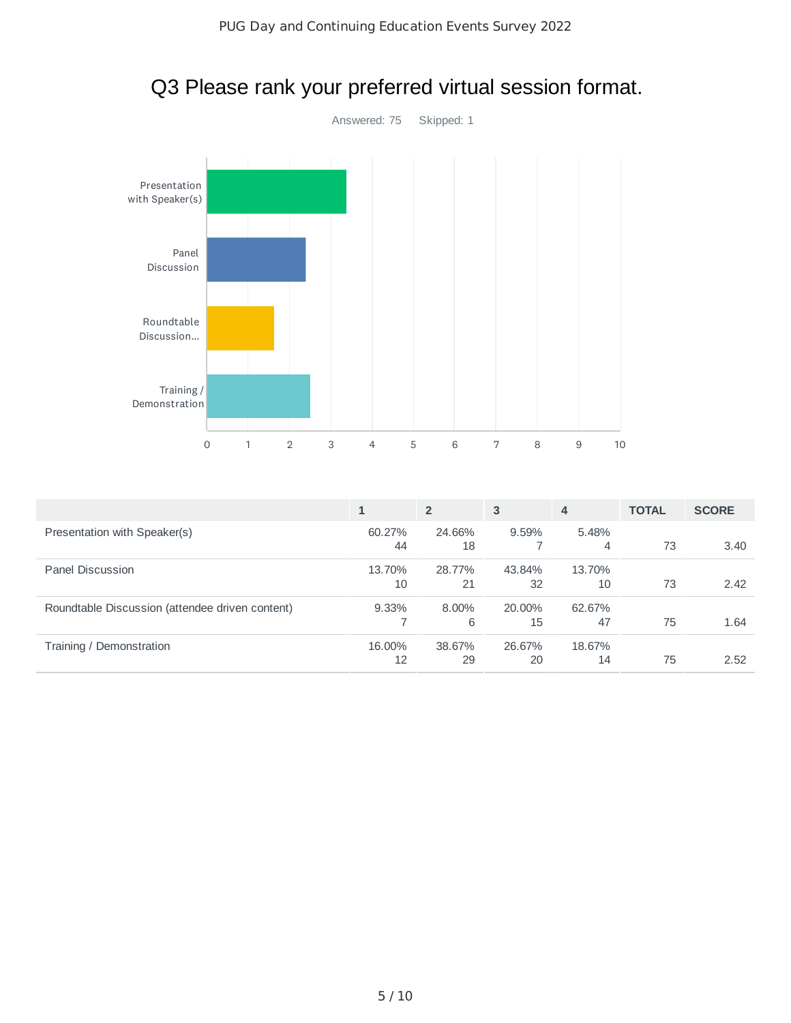

# Q3 Please rank your preferred virtual session format.

|                                                 |              | $\overline{2}$ | 3            | $\overline{4}$ | <b>TOTAL</b> | <b>SCORE</b> |
|-------------------------------------------------|--------------|----------------|--------------|----------------|--------------|--------------|
| Presentation with Speaker(s)                    | 60.27%<br>44 | 24.66%<br>18   | $9.59\%$     | 5.48%<br>4     | 73           | 3.40         |
| Panel Discussion                                | 13.70%<br>10 | 28.77%<br>21   | 43.84%<br>32 | 13.70%<br>10   | 73           | 2.42         |
| Roundtable Discussion (attendee driven content) | $9.33\%$     | 8.00%<br>6     | 20.00%<br>15 | 62.67%<br>47   | 75           | 1.64         |
| Training / Demonstration                        | 16.00%<br>12 | 38.67%<br>29   | 26.67%<br>20 | 18.67%<br>14   | 75           | 2.52         |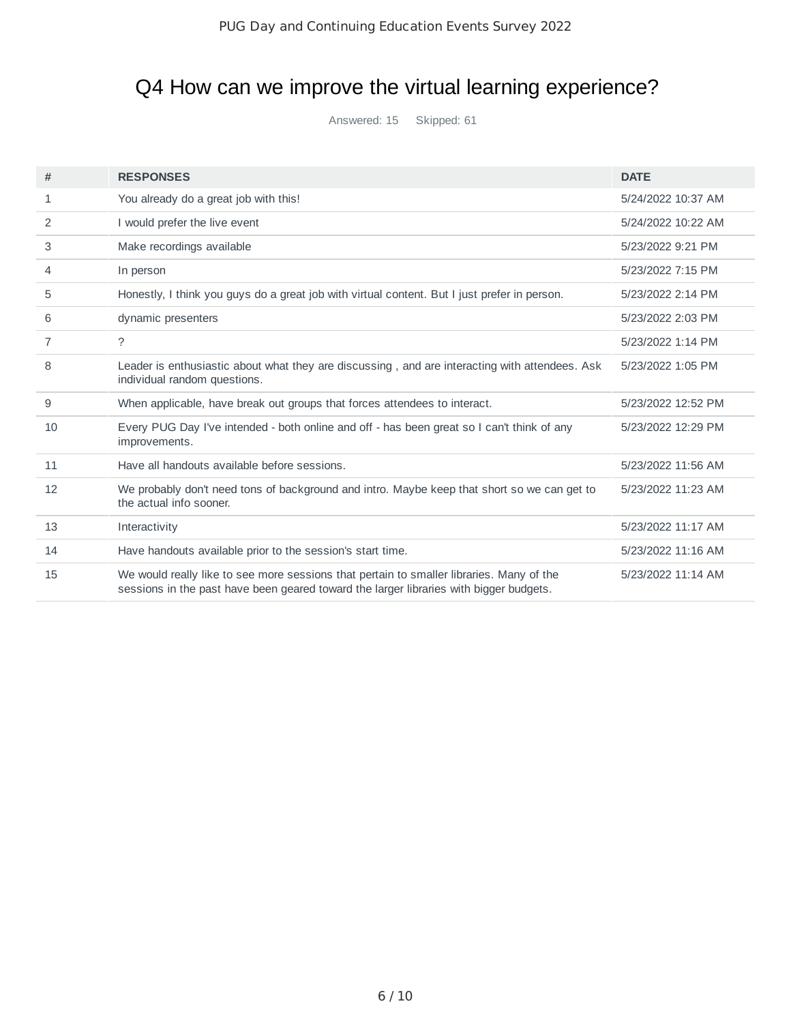# Q4 How can we improve the virtual learning experience?

Answered: 15 Skipped: 61

| #  | <b>RESPONSES</b>                                                                                                                                                                   | <b>DATE</b>        |
|----|------------------------------------------------------------------------------------------------------------------------------------------------------------------------------------|--------------------|
| 1  | You already do a great job with this!                                                                                                                                              | 5/24/2022 10:37 AM |
| 2  | I would prefer the live event                                                                                                                                                      | 5/24/2022 10:22 AM |
| 3  | Make recordings available                                                                                                                                                          | 5/23/2022 9:21 PM  |
| 4  | In person                                                                                                                                                                          | 5/23/2022 7:15 PM  |
| 5  | Honestly, I think you guys do a great job with virtual content. But I just prefer in person.                                                                                       | 5/23/2022 2:14 PM  |
| 6  | dynamic presenters                                                                                                                                                                 | 5/23/2022 2:03 PM  |
| 7  | $\mathcal{P}$                                                                                                                                                                      | 5/23/2022 1:14 PM  |
| 8  | Leader is enthusiastic about what they are discussing, and are interacting with attendees. Ask<br>individual random questions.                                                     | 5/23/2022 1:05 PM  |
| 9  | When applicable, have break out groups that forces attendees to interact.                                                                                                          | 5/23/2022 12:52 PM |
| 10 | Every PUG Day I've intended - both online and off - has been great so I can't think of any<br>improvements.                                                                        | 5/23/2022 12:29 PM |
| 11 | Have all handouts available before sessions.                                                                                                                                       | 5/23/2022 11:56 AM |
| 12 | We probably don't need tons of background and intro. Maybe keep that short so we can get to<br>the actual info sooner.                                                             | 5/23/2022 11:23 AM |
| 13 | Interactivity                                                                                                                                                                      | 5/23/2022 11:17 AM |
| 14 | Have handouts available prior to the session's start time.                                                                                                                         | 5/23/2022 11:16 AM |
| 15 | We would really like to see more sessions that pertain to smaller libraries. Many of the<br>sessions in the past have been geared toward the larger libraries with bigger budgets. | 5/23/2022 11:14 AM |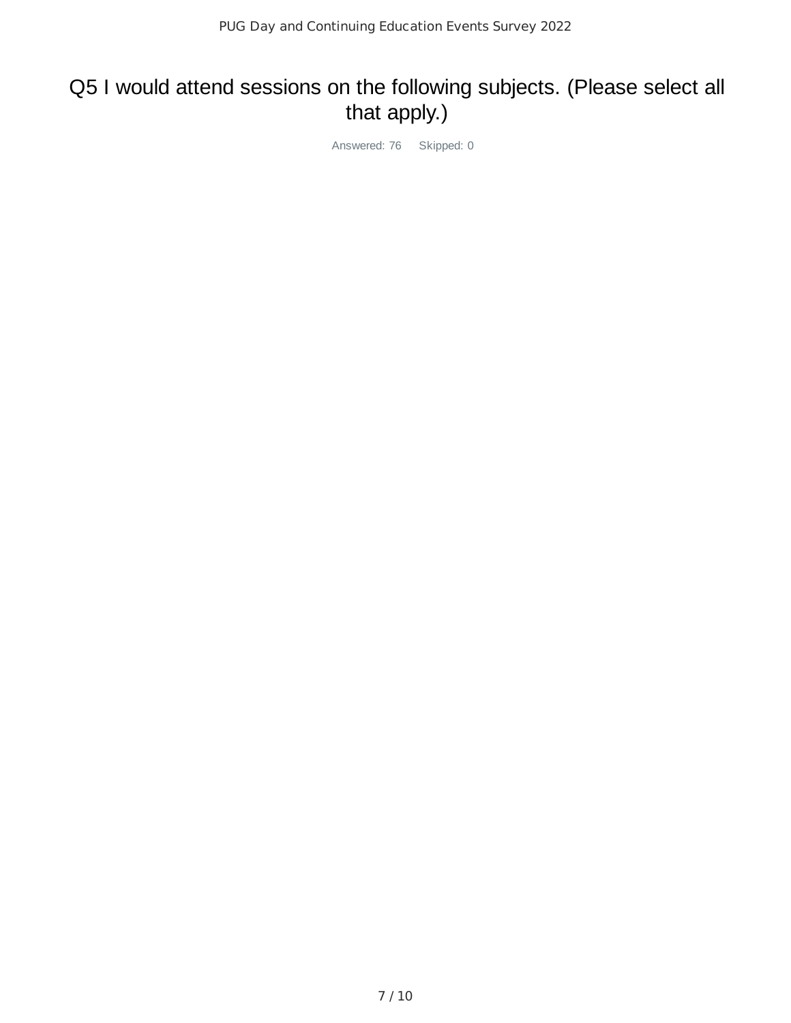# Q5 I would attend sessions on the following subjects. (Please select all that apply.)

Answered: 76 Skipped: 0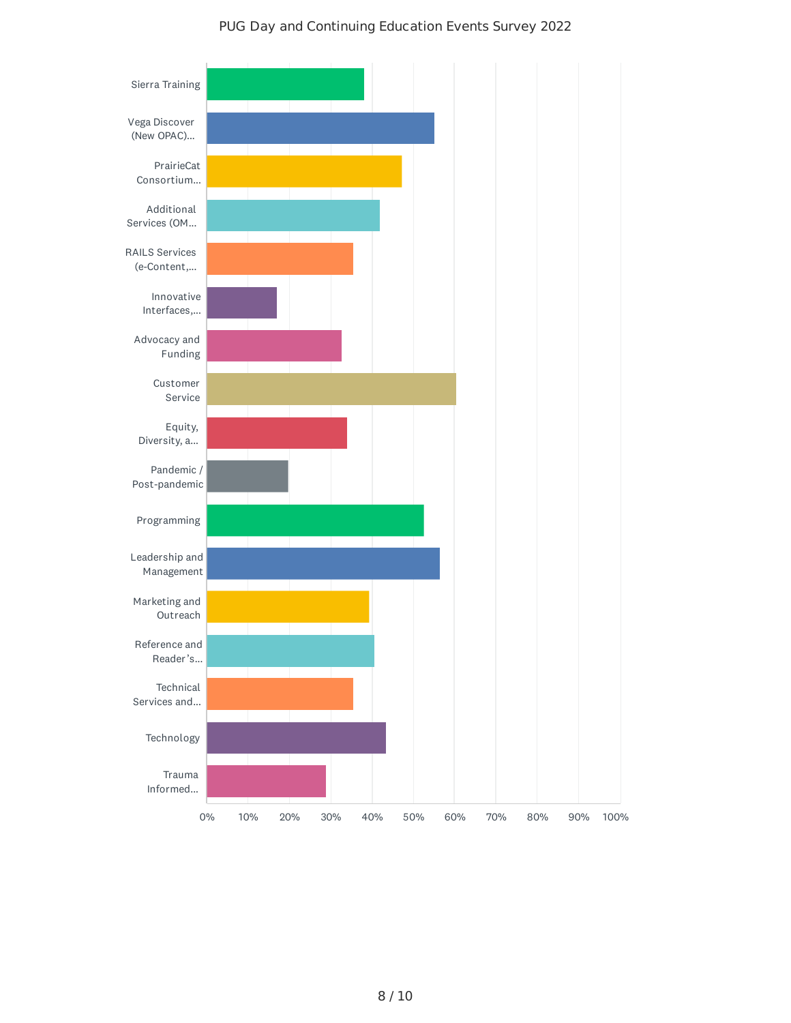

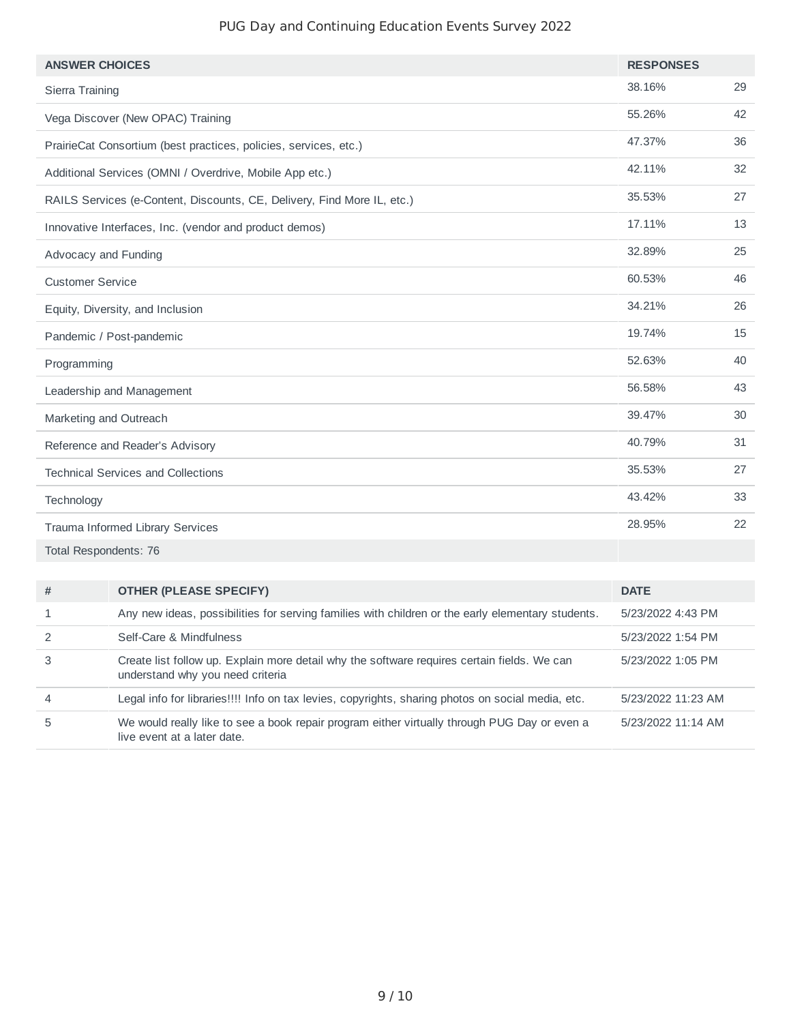## PUG Day and Continuing Education Events Survey 2022

| <b>ANSWER CHOICES</b>                                                   | <b>RESPONSES</b> |    |
|-------------------------------------------------------------------------|------------------|----|
| Sierra Training                                                         | 38.16%           | 29 |
| Vega Discover (New OPAC) Training                                       | 55.26%           | 42 |
| PrairieCat Consortium (best practices, policies, services, etc.)        | 47.37%           | 36 |
| Additional Services (OMNI / Overdrive, Mobile App etc.)                 | 42.11%           | 32 |
| RAILS Services (e-Content, Discounts, CE, Delivery, Find More IL, etc.) | 35.53%           | 27 |
| Innovative Interfaces, Inc. (vendor and product demos)                  | 17.11%           | 13 |
| Advocacy and Funding                                                    | 32.89%           | 25 |
| <b>Customer Service</b>                                                 | 60.53%           | 46 |
| Equity, Diversity, and Inclusion                                        | 34.21%           | 26 |
| Pandemic / Post-pandemic                                                | 19.74%           | 15 |
| Programming                                                             | 52.63%           | 40 |
| Leadership and Management                                               | 56.58%           | 43 |
| Marketing and Outreach                                                  | 39.47%           | 30 |
| Reference and Reader's Advisory                                         | 40.79%           | 31 |
| <b>Technical Services and Collections</b>                               | 35.53%           | 27 |
| Technology                                                              | 43.42%           | 33 |
| Trauma Informed Library Services                                        | 28.95%           | 22 |
| - - .<br>$\sim$ $\sim$ $\sim$ $\sim$ $\sim$ $\sim$ $\sim$               |                  |    |

Total Respondents: 76

| #              | <b>OTHER (PLEASE SPECIFY)</b>                                                                                                   | <b>DATE</b>        |
|----------------|---------------------------------------------------------------------------------------------------------------------------------|--------------------|
|                | Any new ideas, possibilities for serving families with children or the early elementary students.                               | 5/23/2022 4:43 PM  |
|                | Self-Care & Mindfulness                                                                                                         | 5/23/2022 1:54 PM  |
| 3              | Create list follow up. Explain more detail why the software requires certain fields. We can<br>understand why you need criteria | 5/23/2022 1:05 PM  |
| $\overline{4}$ | Legal info for libraries!!!! Info on tax levies, copyrights, sharing photos on social media, etc.                               | 5/23/2022 11:23 AM |
| 5              | We would really like to see a book repair program either virtually through PUG Day or even a<br>live event at a later date.     | 5/23/2022 11:14 AM |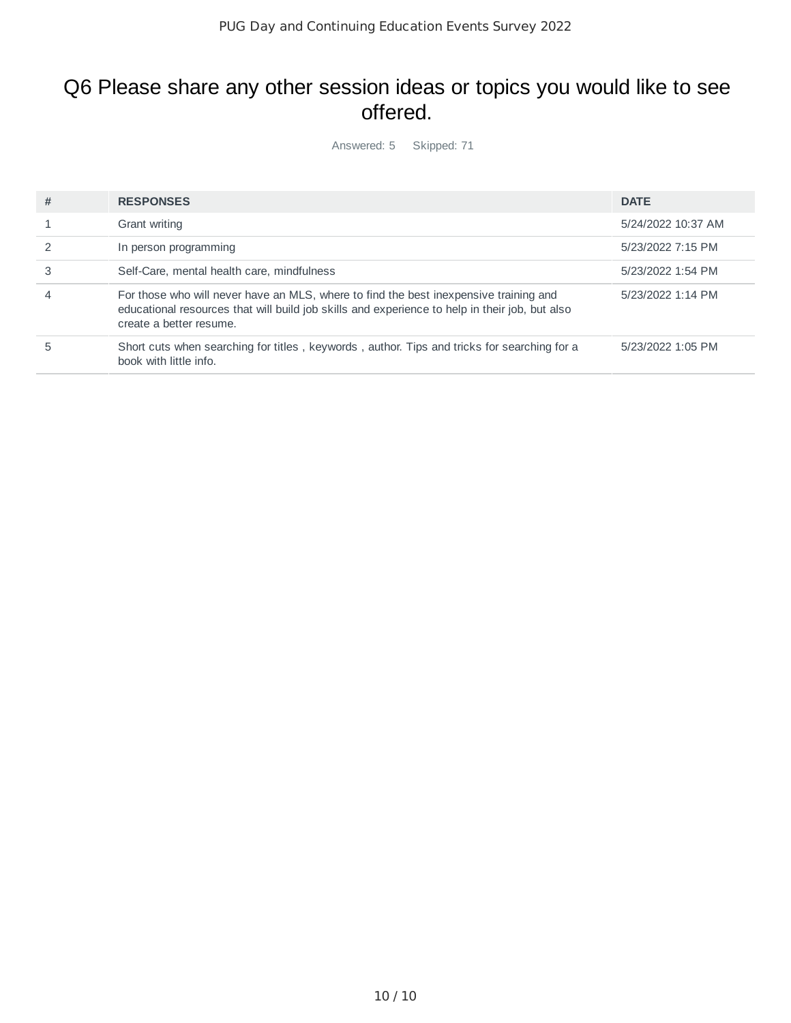## Q6 Please share any other session ideas or topics you would like to see offered.

Answered: 5 Skipped: 71

| # | <b>RESPONSES</b>                                                                                                                                                                                                   | <b>DATE</b>        |
|---|--------------------------------------------------------------------------------------------------------------------------------------------------------------------------------------------------------------------|--------------------|
|   | Grant writing                                                                                                                                                                                                      | 5/24/2022 10:37 AM |
|   | In person programming                                                                                                                                                                                              | 5/23/2022 7:15 PM  |
|   | Self-Care, mental health care, mindfulness                                                                                                                                                                         | 5/23/2022 1:54 PM  |
|   | For those who will never have an MLS, where to find the best inexpensive training and<br>educational resources that will build job skills and experience to help in their job, but also<br>create a better resume. | 5/23/2022 1:14 PM  |
|   | Short cuts when searching for titles, keywords, author. Tips and tricks for searching for a<br>book with little info.                                                                                              | 5/23/2022 1:05 PM  |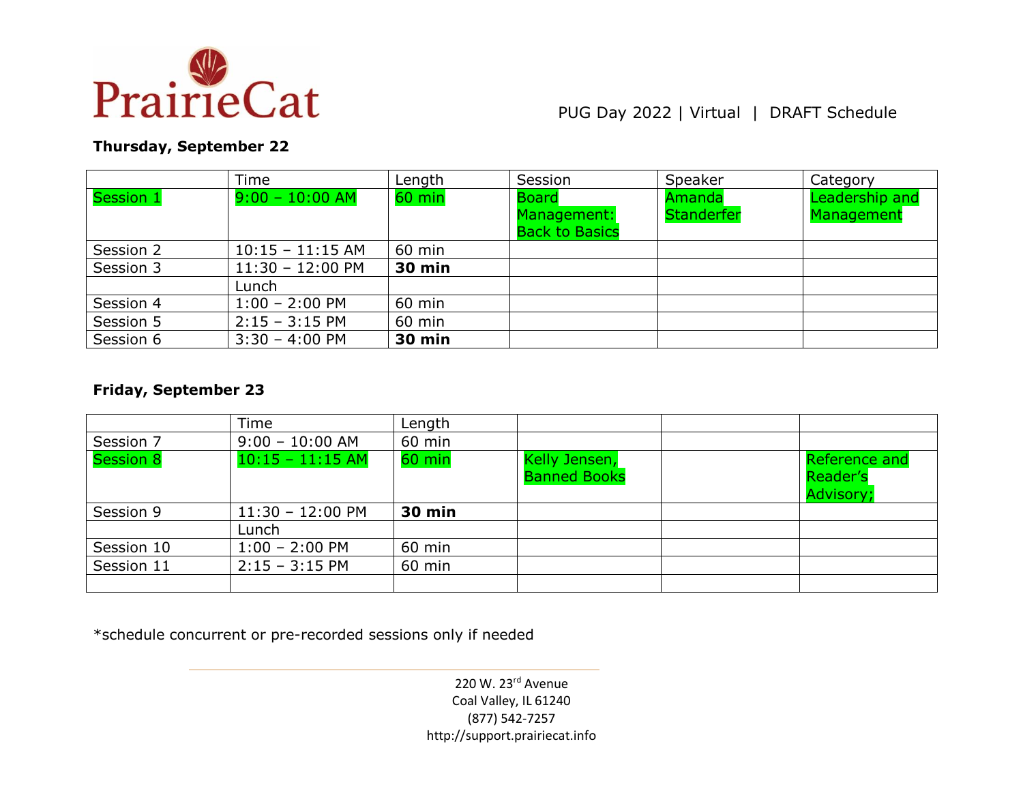

## PUG Day 2022 | Virtual | DRAFT Schedule

## **Thursday, September 22**

|           | Time               | Length        | Session                                              | Speaker                     | Category                     |
|-----------|--------------------|---------------|------------------------------------------------------|-----------------------------|------------------------------|
| Session 1 | $9:00 - 10:00$ AM  | $60$ min      | <b>Board</b><br>Management:<br><b>Back to Basics</b> | Amanda<br><b>Standerfer</b> | Leadership and<br>Management |
| Session 2 | $10:15 - 11:15$ AM | $60$ min      |                                                      |                             |                              |
| Session 3 | $11:30 - 12:00$ PM | <b>30 min</b> |                                                      |                             |                              |
|           | Lunch              |               |                                                      |                             |                              |
| Session 4 | $1:00 - 2:00$ PM   | 60 min        |                                                      |                             |                              |
| Session 5 | $2:15 - 3:15$ PM   | 60 min        |                                                      |                             |                              |
| Session 6 | $3:30 - 4:00$ PM   | <b>30 min</b> |                                                      |                             |                              |

### **Friday, September 23**

|            | Time               | Length        |                                      |                                        |
|------------|--------------------|---------------|--------------------------------------|----------------------------------------|
| Session 7  | $9:00 - 10:00$ AM  | 60 min        |                                      |                                        |
| Session 8  | $10:15 - 11:15$ AM | $60$ min      | Kelly Jensen,<br><b>Banned Books</b> | Reference and<br>Reader's<br>Advisory; |
| Session 9  | $11:30 - 12:00$ PM | <b>30 min</b> |                                      |                                        |
|            | Lunch              |               |                                      |                                        |
| Session 10 | $1:00 - 2:00$ PM   | 60 min        |                                      |                                        |
| Session 11 | $2:15 - 3:15$ PM   | 60 min        |                                      |                                        |
|            |                    |               |                                      |                                        |

\*schedule concurrent or pre-recorded sessions only if needed

220 W. 23rd Avenue Coal Valley, IL 61240 (877) 542-7257 http://support.prairiecat.info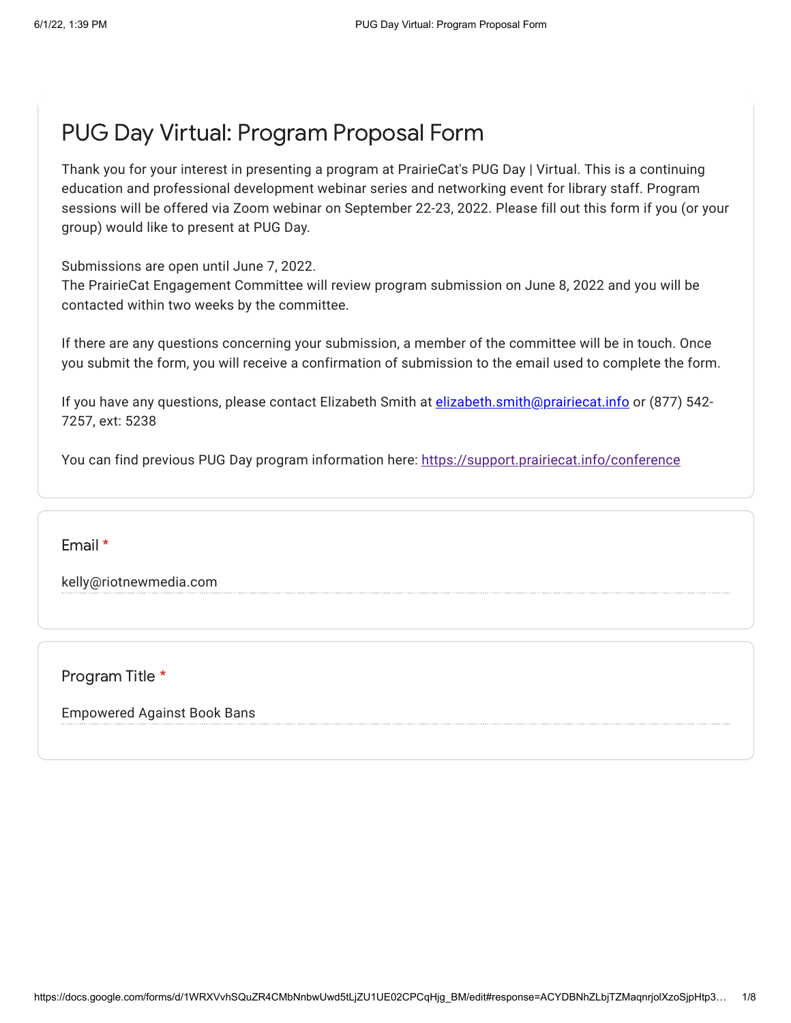# PUG Day Virtual: Program Proposal Form

Thank you for your interest in presenting a program at PrairieCat's PUG Day | Virtual. This is a continuing education and professional development webinar series and networking event for library staff. Program sessions will be offered via Zoom webinar on September 22-23, 2022. Please fill out this form if you (or your group) would like to present at PUG Day.

Submissions are open until June 7, 2022.

The PrairieCat Engagement Committee will review program submission on June 8, 2022 and you will be contacted within two weeks by the committee.

If there are any questions concerning your submission, a member of the committee will be in touch. Once you submit the form, you will receive a confirmation of submission to the email used to complete the form.

If you have any questions, please contact Elizabeth Smith at [elizabeth.smith@prairiecat.info](mailto:elizabeth.smith@prairiecat.info) or (877) 542-7257, ext: 5238

You can find previous PUG Day program information here: <https://support.prairiecat.info/conference>

Email \*

kelly@riotnewmedia.com

Program Title \*

Empowered Against Book Bans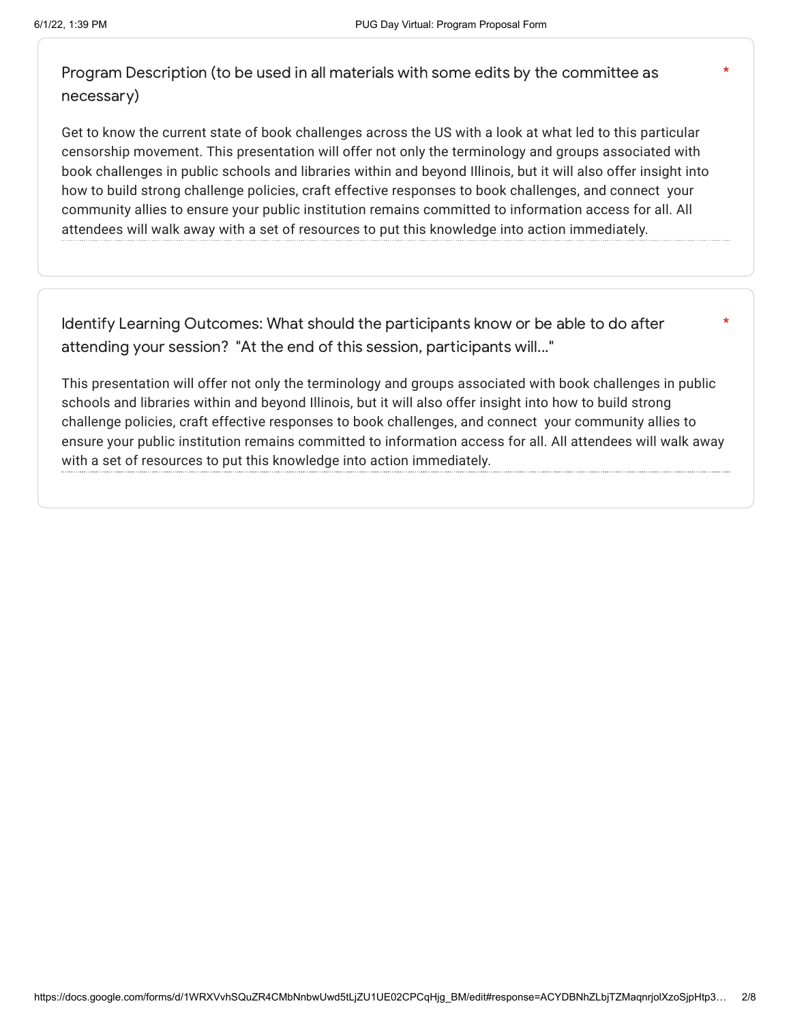\*

\*

Program Description (to be used in all materials with some edits by the committee as necessary)

Get to know the current state of book challenges across the US with a look at what led to this particular censorship movement. This presentation will offer not only the terminology and groups associated with book challenges in public schools and libraries within and beyond Illinois, but it will also offer insight into how to build strong challenge policies, craft effective responses to book challenges, and connect your community allies to ensure your public institution remains committed to information access for all. All attendees will walk away with a set of resources to put this knowledge into action immediately.

Identify Learning Outcomes: What should the participants know or be able to do after attending your session? "At the end of this session, participants will..."

This presentation will offer not only the terminology and groups associated with book challenges in public schools and libraries within and beyond Illinois, but it will also offer insight into how to build strong challenge policies, craft effective responses to book challenges, and connect your community allies to ensure your public institution remains committed to information access for all. All attendees will walk away with a set of resources to put this knowledge into action immediately.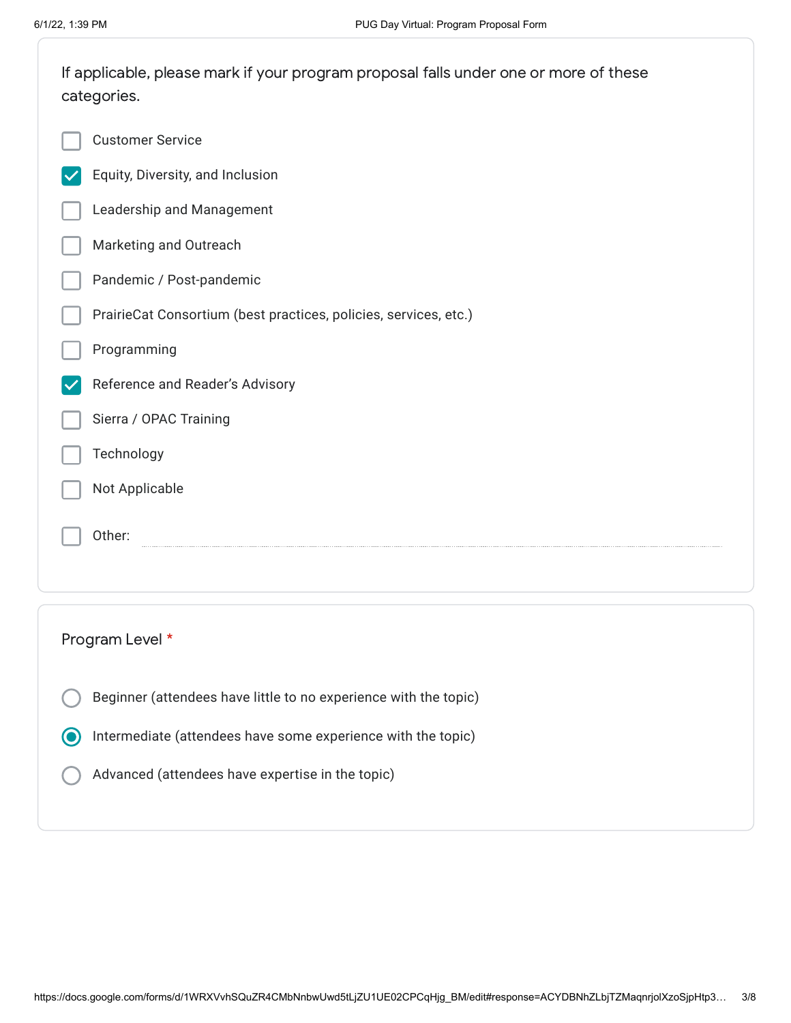| If applicable, please mark if your program proposal falls under one or more of these<br>categories. |  |  |  |
|-----------------------------------------------------------------------------------------------------|--|--|--|
| <b>Customer Service</b>                                                                             |  |  |  |
| Equity, Diversity, and Inclusion                                                                    |  |  |  |
| Leadership and Management                                                                           |  |  |  |
| Marketing and Outreach                                                                              |  |  |  |
| Pandemic / Post-pandemic                                                                            |  |  |  |
| PrairieCat Consortium (best practices, policies, services, etc.)                                    |  |  |  |
| Programming                                                                                         |  |  |  |
| Reference and Reader's Advisory                                                                     |  |  |  |
| Sierra / OPAC Training                                                                              |  |  |  |
| Technology                                                                                          |  |  |  |
| Not Applicable                                                                                      |  |  |  |
| Other:                                                                                              |  |  |  |
|                                                                                                     |  |  |  |
|                                                                                                     |  |  |  |
| Program Level *                                                                                     |  |  |  |
| Beginner (attendees have little to no experience with the topic)                                    |  |  |  |
| Intermediate (attendees have some experience with the topic)<br>0                                   |  |  |  |

Advanced (attendees have expertise in the topic)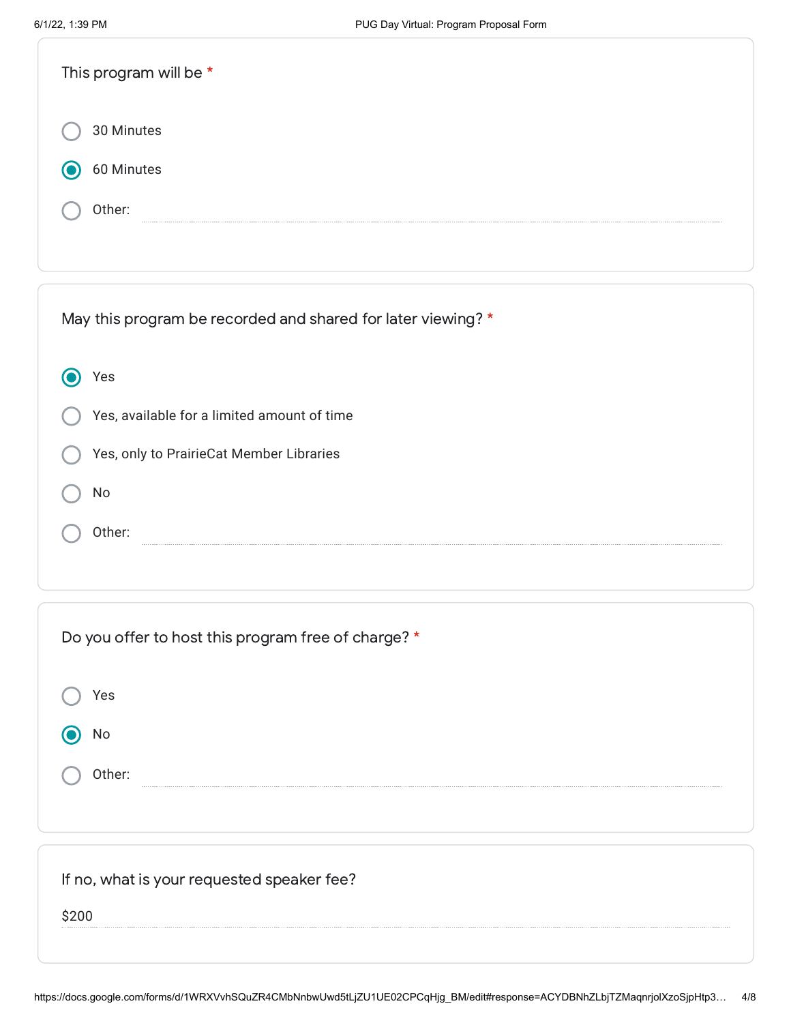| This program will be * |  |
|------------------------|--|
| 30 Minutes             |  |
| 60 Minutes             |  |
| Other:                 |  |

| May this program be recorded and shared for later viewing? * |
|--------------------------------------------------------------|
| res                                                          |
| Yes, available for a limited amount of time                  |
| Yes, only to PrairieCat Member Libraries                     |
| No                                                           |
| Other:                                                       |

| Do you offer to host this program free of charge? * |
|-----------------------------------------------------|
| Yes                                                 |
| No                                                  |
| Other:                                              |
|                                                     |
|                                                     |
| If no, what is your requested speaker fee?          |
| \$200                                               |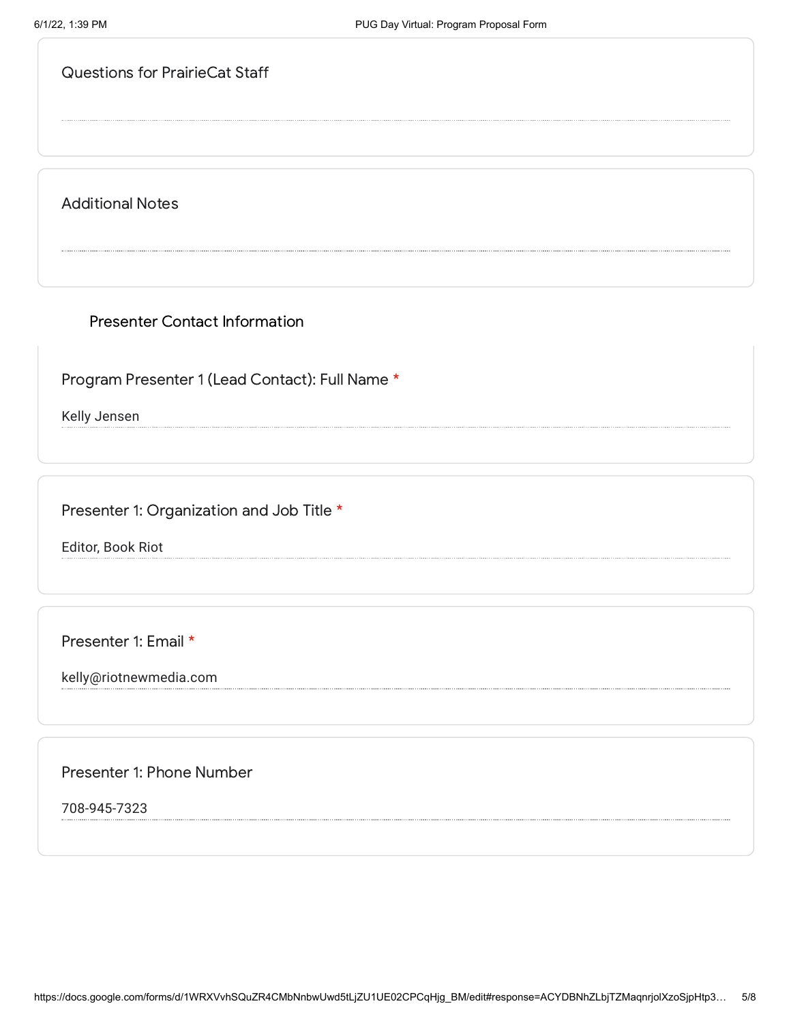Additional Notes

Presenter Contact Information

Program Presenter 1 (Lead Contact): Full Name \*

Kelly Jensen

Presenter 1: Organization and Job Title \*

Editor, Book Riot

Presenter 1: Email \*

kelly@riotnewmedia.com

Presenter 1: Phone Number

708-945-7323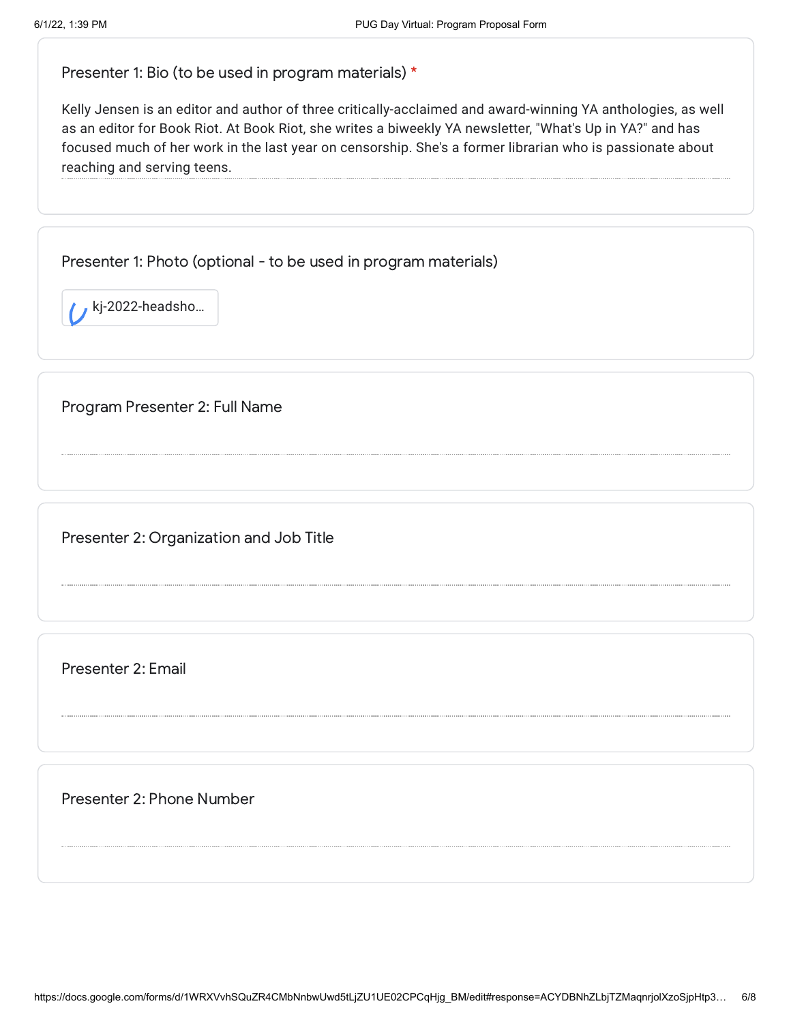Presenter 1: Bio (to be used in program materials) \*

Kelly Jensen is an editor and author of three critically-acclaimed and award-winning YA anthologies, as well as an editor for Book Riot. At Book Riot, she writes a biweekly YA newsletter, "What's Up in YA?" and has focused much of her work in the last year on censorship. She's a former librarian who is passionate about reaching and serving teens.

Presenter 1: Photo (optional - to be used in program materials)

kj-2022-headsho…

Program Presenter 2: Full Name

Presenter 2: Organization and Job Title

Presenter 2: Email

Presenter 2: Phone Number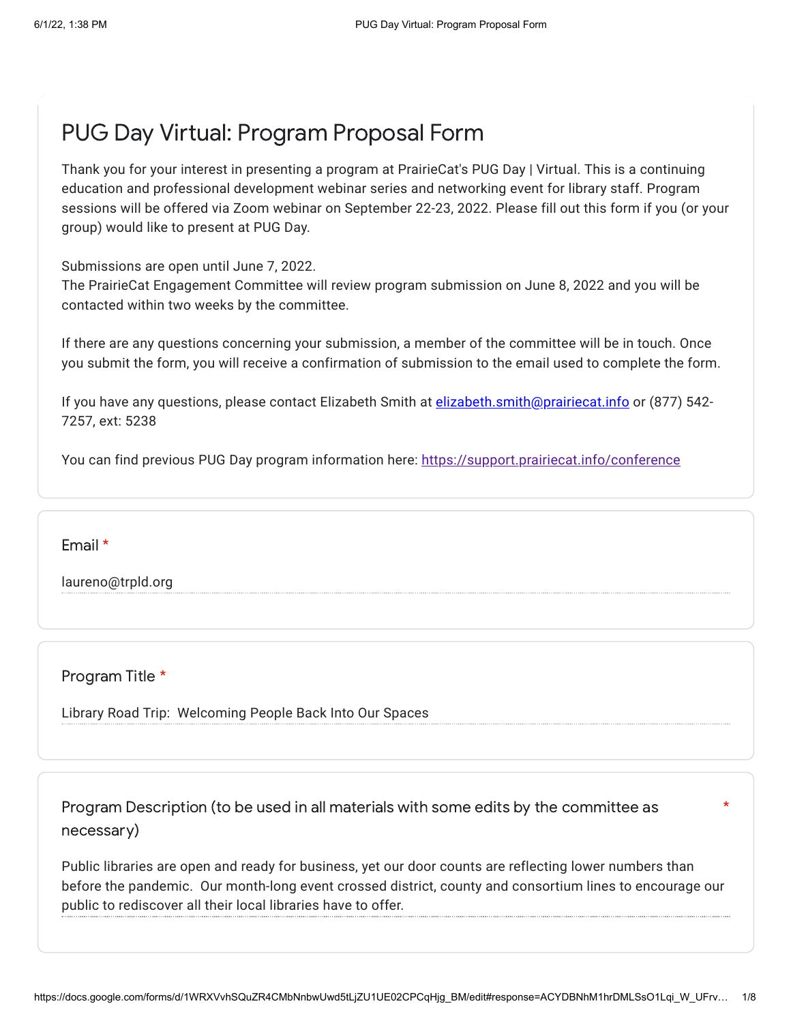# PUG Day Virtual: Program Proposal Form

Thank you for your interest in presenting a program at PrairieCat's PUG Day | Virtual. This is a continuing education and professional development webinar series and networking event for library staff. Program sessions will be offered via Zoom webinar on September 22-23, 2022. Please fill out this form if you (or your group) would like to present at PUG Day.

Submissions are open until June 7, 2022.

The PrairieCat Engagement Committee will review program submission on June 8, 2022 and you will be contacted within two weeks by the committee.

If there are any questions concerning your submission, a member of the committee will be in touch. Once you submit the form, you will receive a confirmation of submission to the email used to complete the form.

If you have any questions, please contact Elizabeth Smith at **[elizabeth.smith@prairiecat.info](mailto:elizabeth.smith@prairiecat.info)** or (877) 542-7257, ext: 5238

You can find previous PUG Day program information here: <https://support.prairiecat.info/conference>

Email \*

laureno@trpld.org

Program Title \*

Library Road Trip: Welcoming People Back Into Our Spaces

Program Description (to be used in all materials with some edits by the committee as necessary)

Public libraries are open and ready for business, yet our door counts are reflecting lower numbers than before the pandemic. Our month-long event crossed district, county and consortium lines to encourage our public to rediscover all their local libraries have to offer.

\*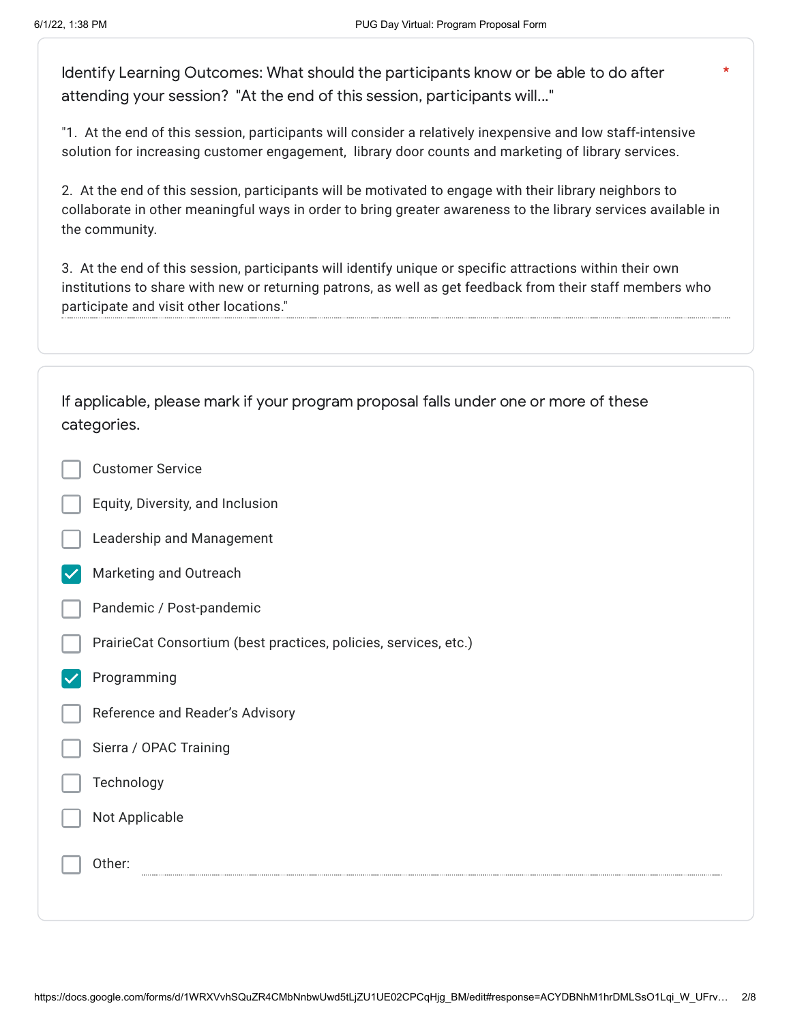\*

Identify Learning Outcomes: What should the participants know or be able to do after attending your session? "At the end of this session, participants will..."

"1. At the end of this session, participants will consider a relatively inexpensive and low staff-intensive solution for increasing customer engagement, library door counts and marketing of library services.

2. At the end of this session, participants will be motivated to engage with their library neighbors to collaborate in other meaningful ways in order to bring greater awareness to the library services available in the community.

3. At the end of this session, participants will identify unique or specific attractions within their own institutions to share with new or returning patrons, as well as get feedback from their staff members who participate and visit other locations."

| If applicable, please mark if your program proposal falls under one or more of these<br>categories. |
|-----------------------------------------------------------------------------------------------------|
| <b>Customer Service</b>                                                                             |
| Equity, Diversity, and Inclusion                                                                    |
| Leadership and Management                                                                           |
| Marketing and Outreach                                                                              |
| Pandemic / Post-pandemic                                                                            |
| PrairieCat Consortium (best practices, policies, services, etc.)                                    |
| Programming                                                                                         |
| Reference and Reader's Advisory                                                                     |
| Sierra / OPAC Training                                                                              |
| Technology                                                                                          |
| Not Applicable                                                                                      |
| Other:                                                                                              |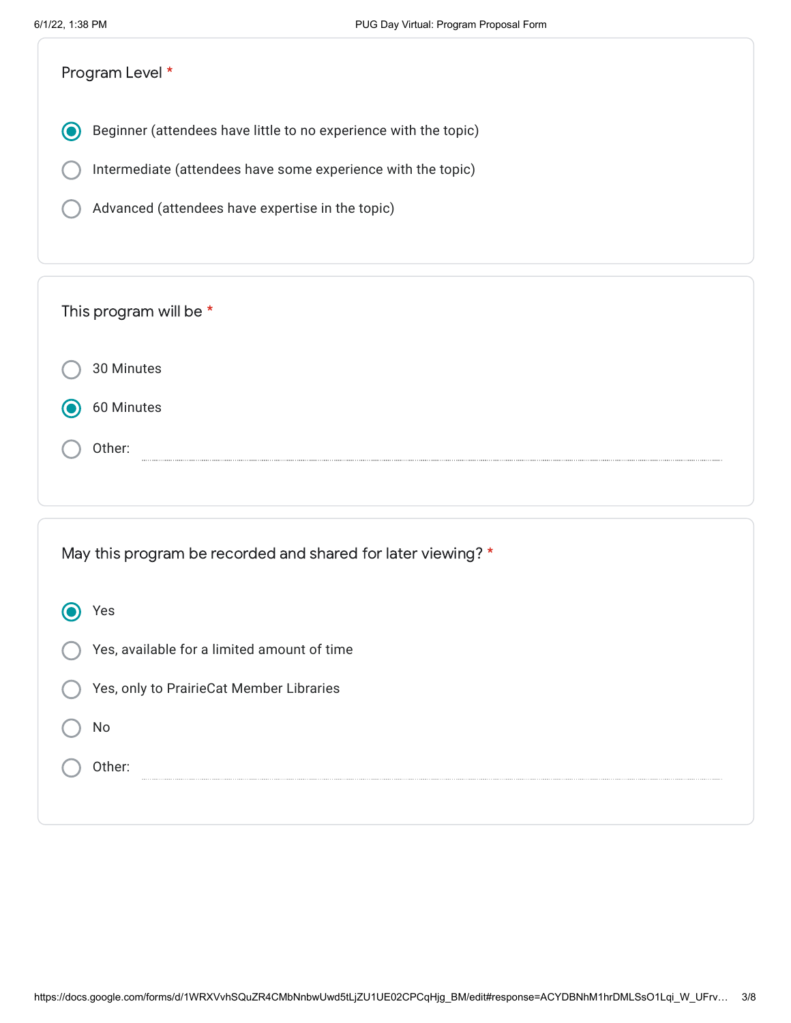| Program Level *                                                                                                                                                                      |
|--------------------------------------------------------------------------------------------------------------------------------------------------------------------------------------|
| Beginner (attendees have little to no experience with the topic)<br>Intermediate (attendees have some experience with the topic)<br>Advanced (attendees have expertise in the topic) |
| This program will be *                                                                                                                                                               |
| 30 Minutes                                                                                                                                                                           |
| 60 Minutes                                                                                                                                                                           |
| Other:                                                                                                                                                                               |

| May this program be recorded and shared for later viewing? * |
|--------------------------------------------------------------|
| Yes                                                          |
| Yes, available for a limited amount of time                  |
| Yes, only to PrairieCat Member Libraries                     |
| No                                                           |
| Other:                                                       |
|                                                              |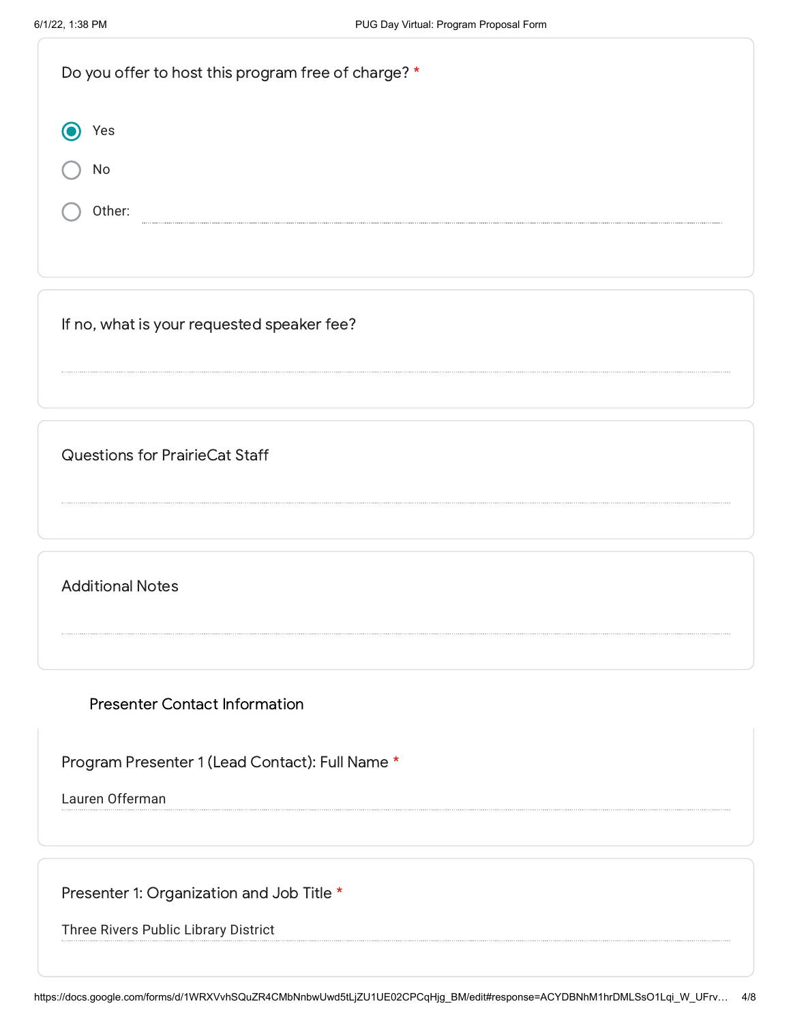| Do you offer to host this program free of charge? * |  |
|-----------------------------------------------------|--|
| /es                                                 |  |
| No                                                  |  |
| Other:                                              |  |
|                                                     |  |

If no, what is your requested speaker fee?

Questions for PrairieCat Staff

Additional Notes

Presenter Contact Information

Program Presenter 1 (Lead Contact): Full Name \*

Lauren Offerman

Presenter 1: Organization and Job Title \*

Three Rivers Public Library District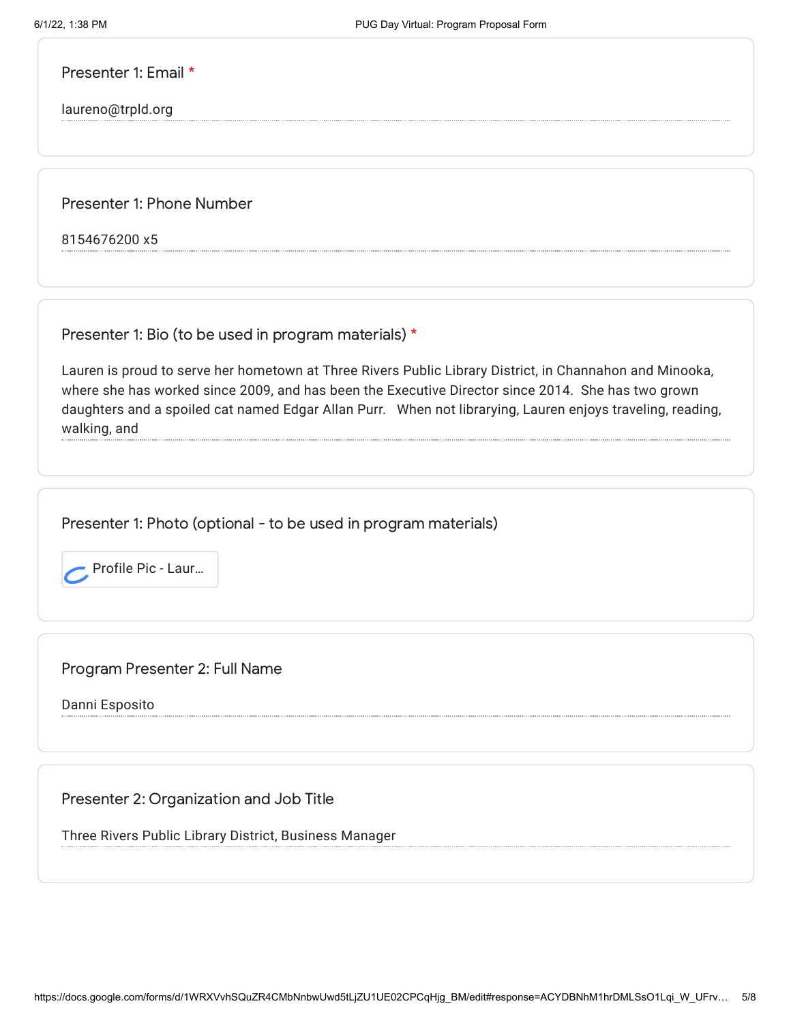Presenter 1: Email \*

laureno@trpld.org

Presenter 1: Phone Number

8154676200 x5

Presenter 1: Bio (to be used in program materials) \*

Lauren is proud to serve her hometown at Three Rivers Public Library District, in Channahon and Minooka, where she has worked since 2009, and has been the Executive Director since 2014. She has two grown daughters and a spoiled cat named Edgar Allan Purr. When not librarying, Lauren enjoys traveling, reading, walking, and

Presenter 1: Photo (optional - to be used in program materials)



Program Presenter 2: Full Name

Danni Esposito

Presenter 2: Organization and Job Title

Three Rivers Public Library District, Business Manager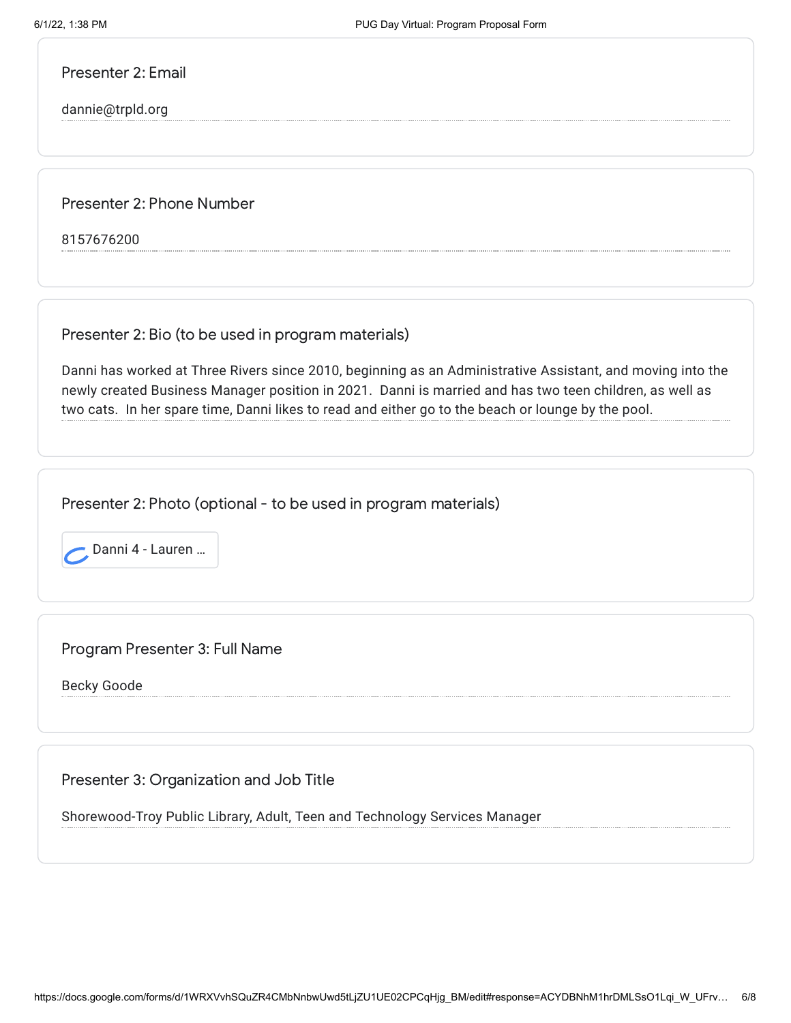Presenter 2: Email

dannie@trpld.org

Presenter 2: Phone Number

8157676200

Presenter 2: Bio (to be used in program materials)

Danni has worked at Three Rivers since 2010, beginning as an Administrative Assistant, and moving into the newly created Business Manager position in 2021. Danni is married and has two teen children, as well as two cats. In her spare time, Danni likes to read and either go to the beach or lounge by the pool.

Presenter 2: Photo (optional - to be used in program materials)



Program Presenter 3: Full Name

Becky Goode

Presenter 3: Organization and Job Title

Shorewood-Troy Public Library, Adult, Teen and Technology Services Manager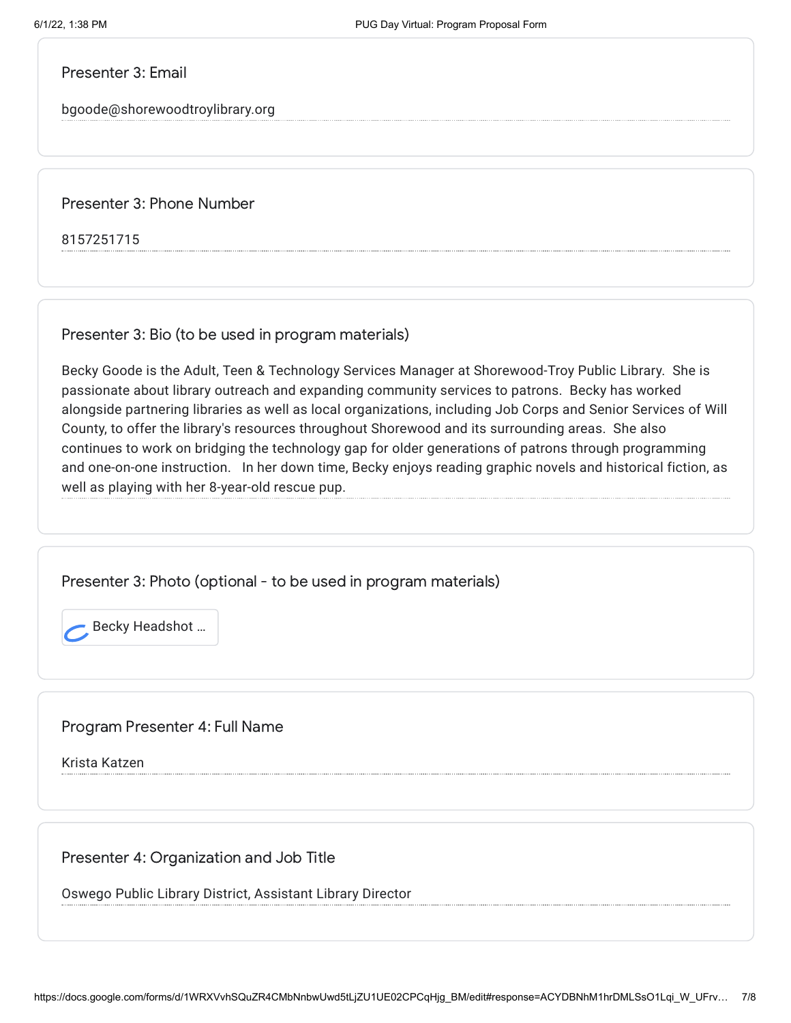Presenter 3: Email

bgoode@shorewoodtroylibrary.org

Presenter 3: Phone Number

8157251715

Presenter 3: Bio (to be used in program materials)

Becky Goode is the Adult, Teen & Technology Services Manager at Shorewood-Troy Public Library. She is passionate about library outreach and expanding community services to patrons. Becky has worked alongside partnering libraries as well as local organizations, including Job Corps and Senior Services of Will County, to offer the library's resources throughout Shorewood and its surrounding areas. She also continues to work on bridging the technology gap for older generations of patrons through programming and one-on-one instruction. In her down time, Becky enjoys reading graphic novels and historical fiction, as well as playing with her 8-year-old rescue pup.

Presenter 3: Photo (optional - to be used in program materials)

Becky Headshot ...

Program Presenter 4: Full Name

Krista Katzen

Presenter 4: Organization and Job Title

Oswego Public Library District, Assistant Library Director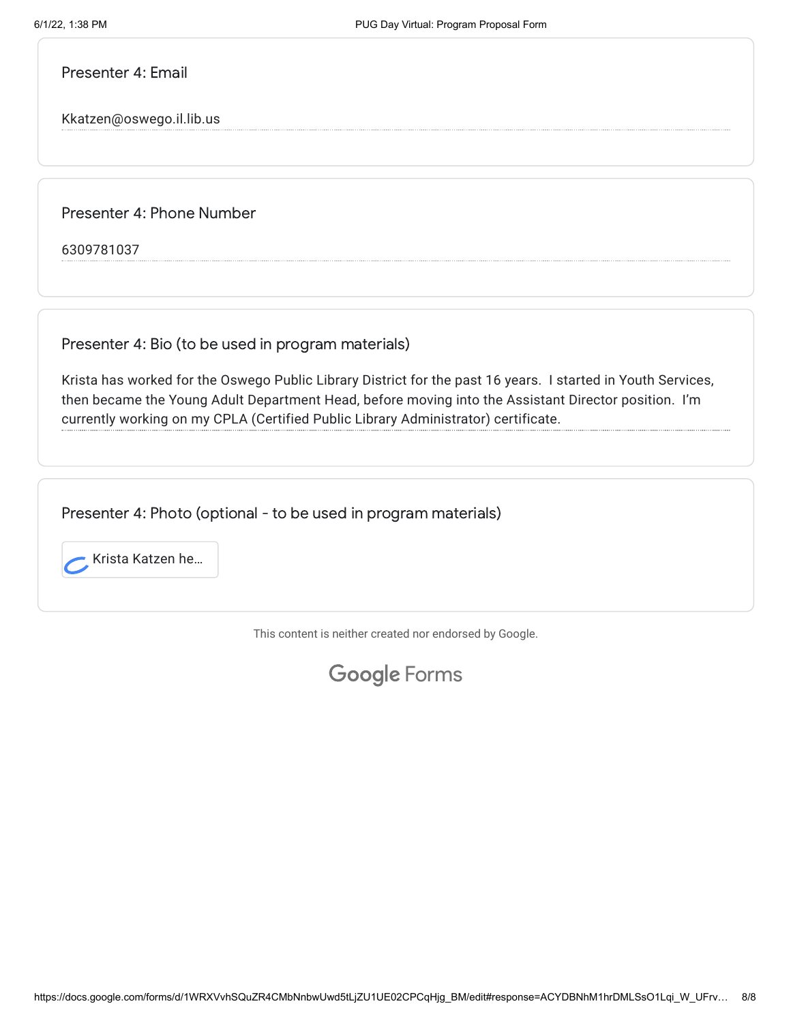Presenter 4: Email

Kkatzen@oswego.il.lib.us

Presenter 4: Phone Number

6309781037

Presenter 4: Bio (to be used in program materials)

Krista has worked for the Oswego Public Library District for the past 16 years. I started in Youth Services, then became the Young Adult Department Head, before moving into the Assistant Director position. I'm currently working on my CPLA (Certified Public Library Administrator) certificate.

Presenter 4: Photo (optional - to be used in program materials)



This content is neither created nor endorsed by Google.

Google [Forms](https://www.google.com/forms/about/?utm_source=product&utm_medium=forms_logo&utm_campaign=forms)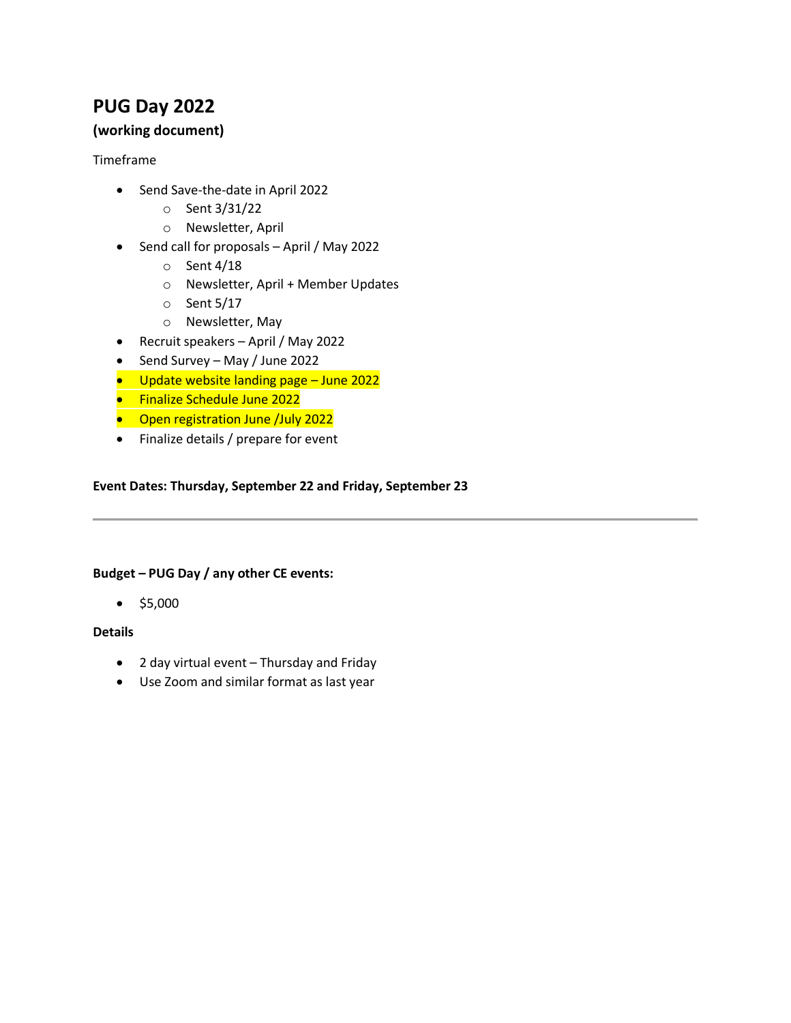## **PUG Day 2022**

## **(working document)**

#### Timeframe

- Send Save-the-date in April 2022
	- o Sent 3/31/22
	- o Newsletter, April
- Send call for proposals April / May 2022
	- o Sent 4/18
	- o Newsletter, April + Member Updates
	- o Sent 5/17
	- o Newsletter, May
- Recruit speakers April / May 2022
- Send Survey May / June 2022
- Update website landing page June 2022
- Finalize Schedule June 2022
- Open registration June /July 2022
- Finalize details / prepare for event

#### **Event Dates: Thursday, September 22 and Friday, September 23**

#### **Budget – PUG Day / any other CE events:**

 $•$  \$5,000

### **Details**

- 2 day virtual event Thursday and Friday
- Use Zoom and similar format as last year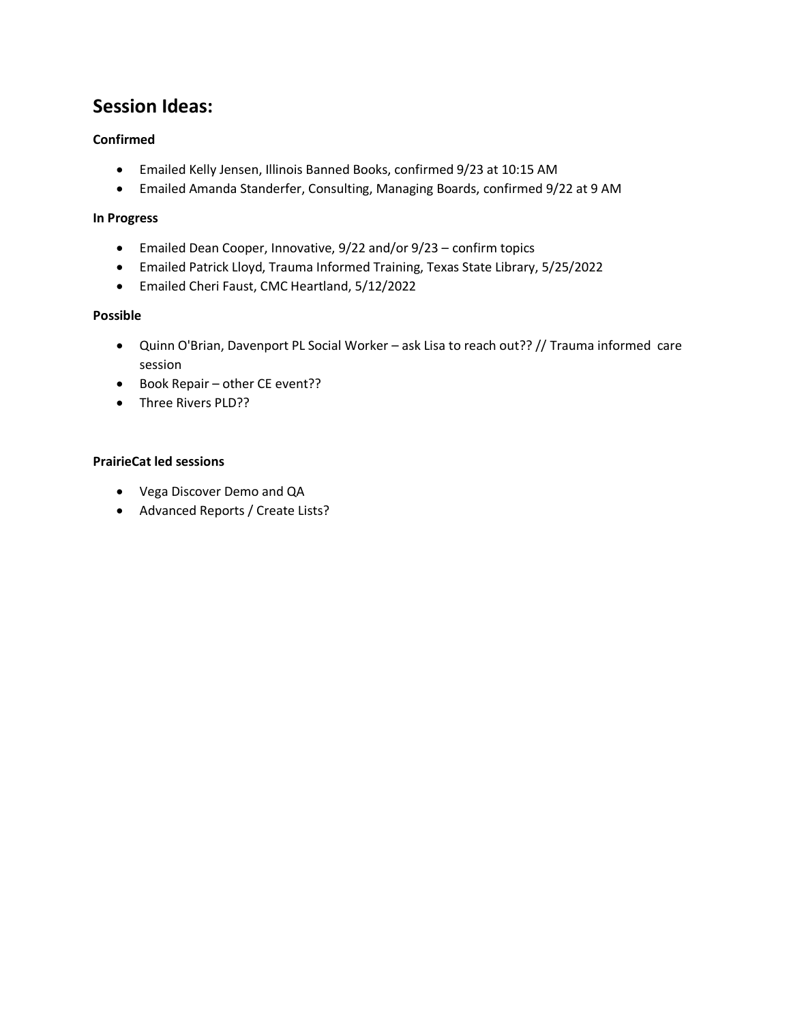## **Session Ideas:**

### **Confirmed**

- Emailed Kelly Jensen, Illinois Banned Books, confirmed 9/23 at 10:15 AM
- Emailed Amanda Standerfer, Consulting, Managing Boards, confirmed 9/22 at 9 AM

#### **In Progress**

- Emailed Dean Cooper, Innovative, 9/22 and/or 9/23 confirm topics
- Emailed Patrick Lloyd, Trauma Informed Training, Texas State Library, 5/25/2022
- Emailed Cheri Faust, CMC Heartland, 5/12/2022

#### **Possible**

- Quinn O'Brian, Davenport PL Social Worker ask Lisa to reach out?? // Trauma informed care session
- Book Repair other CE event??
- Three Rivers PLD??

#### **PrairieCat led sessions**

- Vega Discover Demo and QA
- Advanced Reports / Create Lists?